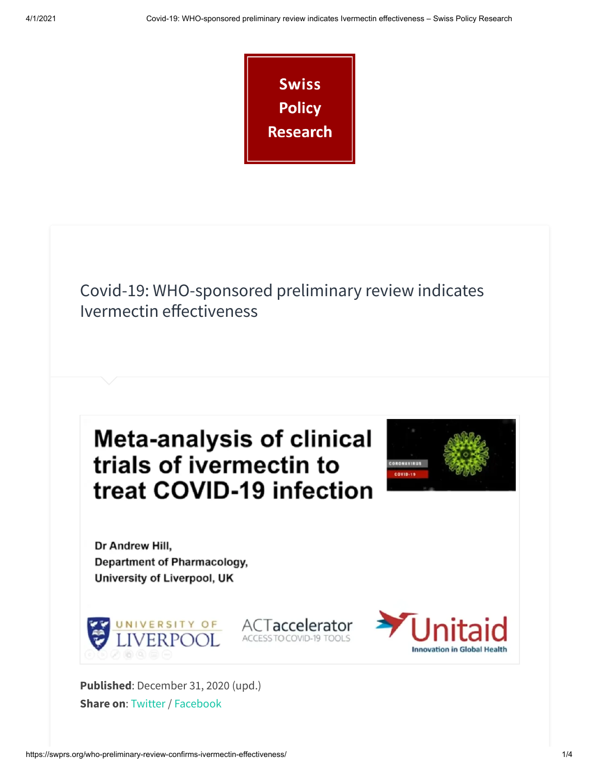

Covid-19: WHO-sponsored preliminary review indicates Ivermectin effectiveness

ACTaccelerator

ACCESS TO COVID-19 TOOLS





**Innovation in Global Healt** 

Dr Andrew Hill, **Department of Pharmacology,** University of Liverpool, UK



**Published**: December 31, 2020 (upd.) **Share on**: [Twitter](https://twitter.com/intent/tweet?url=https://swprs.org/who-preliminary-review-confirms-ivermectin-effectiveness/) / [Facebook](https://www.facebook.com/share.php?u=https://swprs.org/who-preliminary-review-confirms-ivermectin-effectiveness/)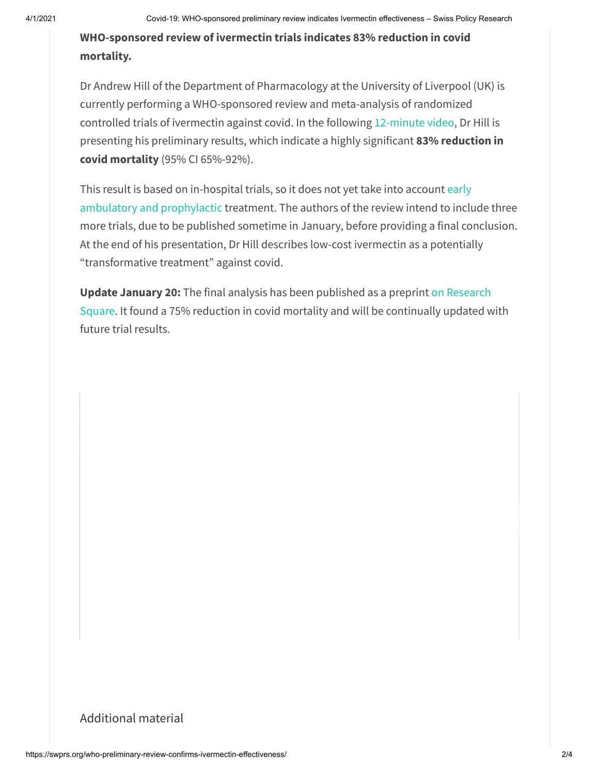**WHO-sponsored review of ivermectin trials indicates 83% reduction in covid mortality.**

Dr Andrew Hill of the Department of Pharmacology at the University of Liverpool (UK) is currently performing a WHO-sponsored review and meta-analysis of randomized controlled trials of ivermectin against covid. In the following [12-minute](https://www.youtube.com/watch?v=yOAh7GtvcOs) video, Dr Hill is presenting his preliminary results, which indicate a highly significant **83% reduction in covid mortality** (95% CI 65%-92%).

This result is based on in-hospital trials, so it does not yet take into account early [ambulatory and](https://covid19criticalcare.com/) prophylactic treatment. The authors of the review intend to include three more trials, due to be published sometime in January, before providing a final conclusion. At the end of his presentation, Dr Hill describes low-cost ivermectin as a potentially "transformative treatment" against covid.

**Update January 20:** The final analysis has been published as a preprint on Research Square. It found a 75% reduction in covid mortality and will be [continually](https://www.researchsquare.com/article/rs-148845/v1) updated with future trial results.

## <span id="page-1-0"></span>[A](#page-1-0)dditional material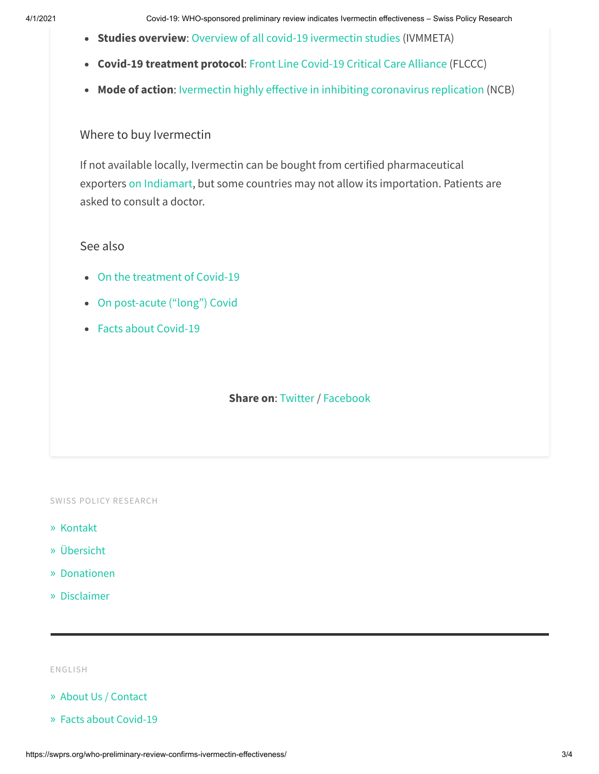- **Studies overview**: Overview of all covid-19 [ivermectin](https://c19ivermectin.com/) studies (IVMMETA)
- **Covid-19 treatment protocol**: Front Line [Covid-19](https://covid19criticalcare.com/) Critical Care Alliance (FLCCC)
- Mode of action: Ivermectin highly effective in inhibiting coronavirus replication (NCB)

## <span id="page-2-0"></span>[W](#page-2-0)here to buy Ivermectin

If not available locally, Ivermectin can be bought from certified pharmaceutical exporters on [Indiamart,](https://dir.indiamart.com/search.mp?ss=ivermectin&biz=20&list_vw=1) but some countries may not allow its importation. Patients are asked to consult a doctor.

## <span id="page-2-1"></span>[S](#page-2-1)ee also

- On the [treatment](https://swprs.org/on-the-treatment-of-covid-19/) of Covid-19
- On [post-acute](http://swprs.org/post-acute-covid-long-covid/) ("long") Covid
- Facts about [Covid-19](https://swprs.org/covid19-facts/)

**Share on**: [Twitter](https://twitter.com/intent/tweet?url=https://swprs.org/who-preliminary-review-confirms-ivermectin-effectiveness/) / [Facebook](https://www.facebook.com/share.php?u=https://swprs.org/who-preliminary-review-confirms-ivermectin-effectiveness/)

SWISS POLICY RESEARCH

- » [Kontakt](https://swprs.org/kontakt/)
- » [Übersicht](https://swprs.org/uebersicht/)
- » [Donationen](https://swprs.org/donationen/)
- » [Disclaimer](https://swprs.org/disclaimer/)

ENGLISH

- » About Us / [Contact](https://swprs.org/contact/)
- » Facts about [Covid-19](https://swprs.org/covid19-facts/)